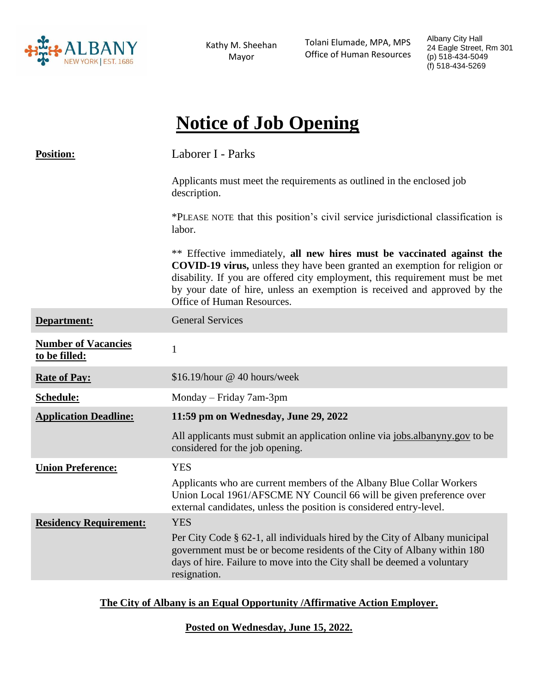

Kathy M. Sheehan Mayor

 Tolani Elumade, MPA, MPS Office of Human Resources Albany City Hall 24 Eagle Street, Rm 301 (p) 518-434-5049 (f) 518-434-5269

# **Notice of Job Opening**

| <b>Position:</b>                            | Laborer I - Parks                                                                                                                                                                                                                                                                                                                                      |
|---------------------------------------------|--------------------------------------------------------------------------------------------------------------------------------------------------------------------------------------------------------------------------------------------------------------------------------------------------------------------------------------------------------|
|                                             | Applicants must meet the requirements as outlined in the enclosed job<br>description.                                                                                                                                                                                                                                                                  |
|                                             | *PLEASE NOTE that this position's civil service jurisdictional classification is<br>labor.                                                                                                                                                                                                                                                             |
|                                             | ** Effective immediately, all new hires must be vaccinated against the<br><b>COVID-19 virus,</b> unless they have been granted an exemption for religion or<br>disability. If you are offered city employment, this requirement must be met<br>by your date of hire, unless an exemption is received and approved by the<br>Office of Human Resources. |
| Department:                                 | <b>General Services</b>                                                                                                                                                                                                                                                                                                                                |
| <b>Number of Vacancies</b><br>to be filled: | $\mathbf{1}$                                                                                                                                                                                                                                                                                                                                           |
| <b>Rate of Pay:</b>                         | \$16.19/hour @ 40 hours/week                                                                                                                                                                                                                                                                                                                           |
| Schedule:                                   | Monday – Friday 7am-3pm                                                                                                                                                                                                                                                                                                                                |
| <b>Application Deadline:</b>                | 11:59 pm on Wednesday, June 29, 2022                                                                                                                                                                                                                                                                                                                   |
|                                             | All applicants must submit an application online via jobs.albanyny.gov to be<br>considered for the job opening.                                                                                                                                                                                                                                        |
| <b>Union Preference:</b>                    | <b>YES</b>                                                                                                                                                                                                                                                                                                                                             |
|                                             | Applicants who are current members of the Albany Blue Collar Workers<br>Union Local 1961/AFSCME NY Council 66 will be given preference over<br>external candidates, unless the position is considered entry-level.                                                                                                                                     |
| <b>Residency Requirement:</b>               | <b>YES</b>                                                                                                                                                                                                                                                                                                                                             |
|                                             | Per City Code § 62-1, all individuals hired by the City of Albany municipal<br>government must be or become residents of the City of Albany within 180<br>days of hire. Failure to move into the City shall be deemed a voluntary<br>resignation.                                                                                                      |

## **The City of Albany is an Equal Opportunity /Affirmative Action Employer.**

**Posted on Wednesday, June 15, 2022.**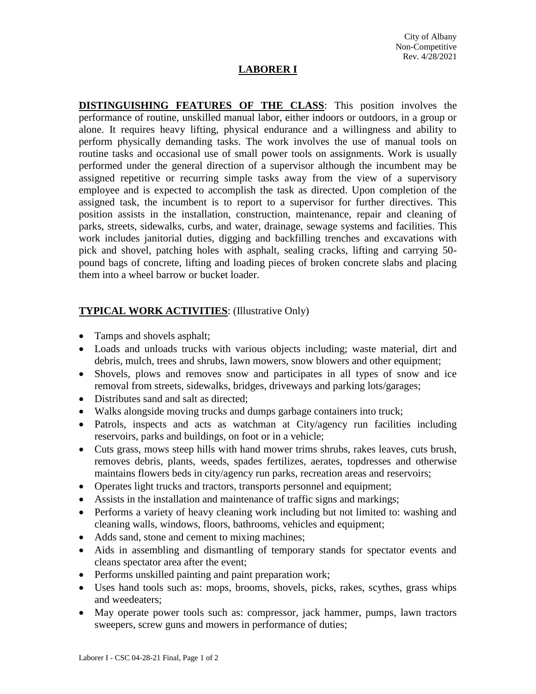## **LABORER I**

**DISTINGUISHING FEATURES OF THE CLASS**: This position involves the performance of routine, unskilled manual labor, either indoors or outdoors, in a group or alone. It requires heavy lifting, physical endurance and a willingness and ability to perform physically demanding tasks. The work involves the use of manual tools on routine tasks and occasional use of small power tools on assignments. Work is usually performed under the general direction of a supervisor although the incumbent may be assigned repetitive or recurring simple tasks away from the view of a supervisory employee and is expected to accomplish the task as directed. Upon completion of the assigned task, the incumbent is to report to a supervisor for further directives. This position assists in the installation, construction, maintenance, repair and cleaning of parks, streets, sidewalks, curbs, and water, drainage, sewage systems and facilities. This work includes janitorial duties, digging and backfilling trenches and excavations with pick and shovel, patching holes with asphalt, sealing cracks, lifting and carrying 50 pound bags of concrete, lifting and loading pieces of broken concrete slabs and placing them into a wheel barrow or bucket loader.

# **TYPICAL WORK ACTIVITIES**: (Illustrative Only)

- Tamps and shovels asphalt;
- Loads and unloads trucks with various objects including; waste material, dirt and debris, mulch, trees and shrubs, lawn mowers, snow blowers and other equipment;
- Shovels, plows and removes snow and participates in all types of snow and ice removal from streets, sidewalks, bridges, driveways and parking lots/garages;
- Distributes sand and salt as directed;
- Walks alongside moving trucks and dumps garbage containers into truck;
- Patrols, inspects and acts as watchman at City/agency run facilities including reservoirs, parks and buildings, on foot or in a vehicle;
- Cuts grass, mows steep hills with hand mower trims shrubs, rakes leaves, cuts brush, removes debris, plants, weeds, spades fertilizes, aerates, topdresses and otherwise maintains flowers beds in city/agency run parks, recreation areas and reservoirs;
- Operates light trucks and tractors, transports personnel and equipment;
- Assists in the installation and maintenance of traffic signs and markings;
- Performs a variety of heavy cleaning work including but not limited to: washing and cleaning walls, windows, floors, bathrooms, vehicles and equipment;
- Adds sand, stone and cement to mixing machines;
- Aids in assembling and dismantling of temporary stands for spectator events and cleans spectator area after the event;
- Performs unskilled painting and paint preparation work;
- Uses hand tools such as: mops, brooms, shovels, picks, rakes, scythes, grass whips and weedeaters;
- May operate power tools such as: compressor, jack hammer, pumps, lawn tractors sweepers, screw guns and mowers in performance of duties;